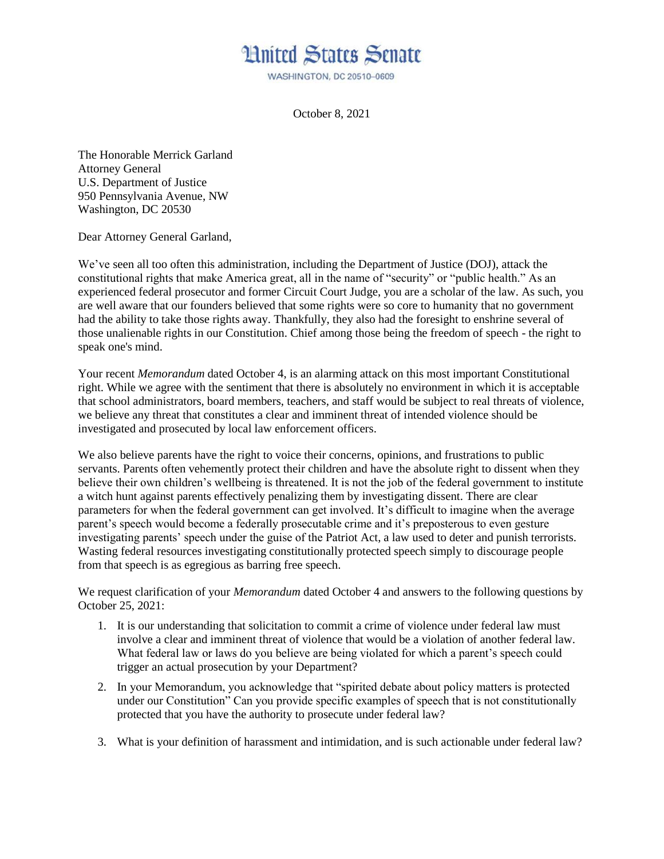## **Hnited States Senate**

WASHINGTON, DC 20510-0609

October 8, 2021

The Honorable Merrick Garland Attorney General U.S. Department of Justice 950 Pennsylvania Avenue, NW Washington, DC 20530

Dear Attorney General Garland,

We've seen all too often this administration, including the Department of Justice (DOJ), attack the constitutional rights that make America great, all in the name of "security" or "public health." As an experienced federal prosecutor and former Circuit Court Judge, you are a scholar of the law. As such, you are well aware that our founders believed that some rights were so core to humanity that no government had the ability to take those rights away. Thankfully, they also had the foresight to enshrine several of those unalienable rights in our Constitution. Chief among those being the freedom of speech - the right to speak one's mind.

Your recent *Memorandum* dated October 4, is an alarming attack on this most important Constitutional right. While we agree with the sentiment that there is absolutely no environment in which it is acceptable that school administrators, board members, teachers, and staff would be subject to real threats of violence, we believe any threat that constitutes a clear and imminent threat of intended violence should be investigated and prosecuted by local law enforcement officers.

We also believe parents have the right to voice their concerns, opinions, and frustrations to public servants. Parents often vehemently protect their children and have the absolute right to dissent when they believe their own children's wellbeing is threatened. It is not the job of the federal government to institute a witch hunt against parents effectively penalizing them by investigating dissent. There are clear parameters for when the federal government can get involved. It's difficult to imagine when the average parent's speech would become a federally prosecutable crime and it's preposterous to even gesture investigating parents' speech under the guise of the Patriot Act, a law used to deter and punish terrorists. Wasting federal resources investigating constitutionally protected speech simply to discourage people from that speech is as egregious as barring free speech.

We request clarification of your *Memorandum* dated October 4 and answers to the following questions by October 25, 2021:

- 1. It is our understanding that solicitation to commit a crime of violence under federal law must involve a clear and imminent threat of violence that would be a violation of another federal law. What federal law or laws do you believe are being violated for which a parent's speech could trigger an actual prosecution by your Department?
- 2. In your Memorandum, you acknowledge that "spirited debate about policy matters is protected under our Constitution" Can you provide specific examples of speech that is not constitutionally protected that you have the authority to prosecute under federal law?
- 3. What is your definition of harassment and intimidation, and is such actionable under federal law?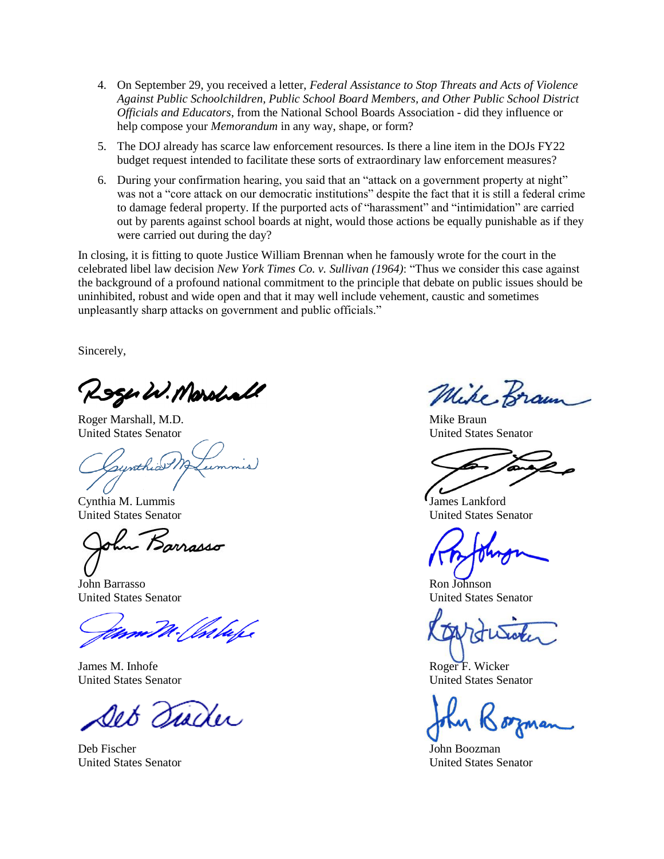- 4. On September 29, you received a letter, *Federal Assistance to Stop Threats and Acts of Violence Against Public Schoolchildren, Public School Board Members, and Other Public School District Officials and Educators*, from the National School Boards Association - did they influence or help compose your *Memorandum* in any way, shape, or form?
- 5. The DOJ already has scarce law enforcement resources. Is there a line item in the DOJs FY22 budget request intended to facilitate these sorts of extraordinary law enforcement measures?
- 6. During your confirmation hearing, you said that an "attack on a government property at night" was not a "core attack on our democratic institutions" despite the fact that it is still a federal crime to damage federal property. If the purported acts of "harassment" and "intimidation" are carried out by parents against school boards at night, would those actions be equally punishable as if they were carried out during the day?

In closing, it is fitting to quote Justice William Brennan when he famously wrote for the court in the celebrated libel law decision *New York Times Co. v. Sullivan (1964)*: "Thus we consider this case against the background of a profound national commitment to the principle that debate on public issues should be uninhibited, robust and wide open and that it may well include vehement, caustic and sometimes unpleasantly sharp attacks on government and public officials."

Sincerely,

Roger W. Marshall

Roger Marshall, M.D. Nike Braun Mike Braun United States Senator United States Senator

unthio

Cynthia M. Lummis James Lankford

John Barrasso Ron Johnson

James M. Inhofe Roger F. Wicker

Det Siader

Deb Fischer John Boozman

Mike Bram

United States Senator United States Senator

United States Senator United States Senator

United States Senator United States Senator

United States Senator United States Senator